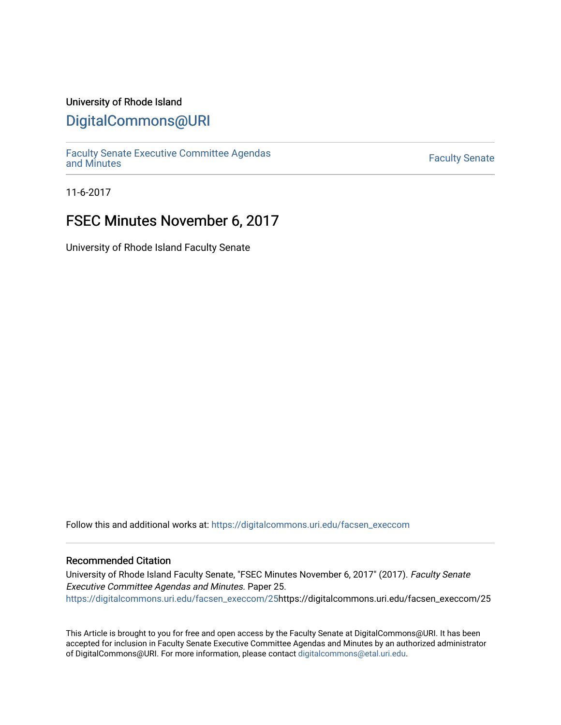### University of Rhode Island

### [DigitalCommons@URI](https://digitalcommons.uri.edu/)

[Faculty Senate Executive Committee Agendas](https://digitalcommons.uri.edu/facsen_execcom)  [and Minutes](https://digitalcommons.uri.edu/facsen_execcom) [Faculty Senate](https://digitalcommons.uri.edu/facsen) 

11-6-2017

## FSEC Minutes November 6, 2017

University of Rhode Island Faculty Senate

Follow this and additional works at: [https://digitalcommons.uri.edu/facsen\\_execcom](https://digitalcommons.uri.edu/facsen_execcom?utm_source=digitalcommons.uri.edu%2Ffacsen_execcom%2F25&utm_medium=PDF&utm_campaign=PDFCoverPages) 

### Recommended Citation

University of Rhode Island Faculty Senate, "FSEC Minutes November 6, 2017" (2017). Faculty Senate Executive Committee Agendas and Minutes. Paper 25. [https://digitalcommons.uri.edu/facsen\\_execcom/25h](https://digitalcommons.uri.edu/facsen_execcom/25?utm_source=digitalcommons.uri.edu%2Ffacsen_execcom%2F25&utm_medium=PDF&utm_campaign=PDFCoverPages)ttps://digitalcommons.uri.edu/facsen\_execcom/25

This Article is brought to you for free and open access by the Faculty Senate at DigitalCommons@URI. It has been accepted for inclusion in Faculty Senate Executive Committee Agendas and Minutes by an authorized administrator of DigitalCommons@URI. For more information, please contact [digitalcommons@etal.uri.edu](mailto:digitalcommons@etal.uri.edu).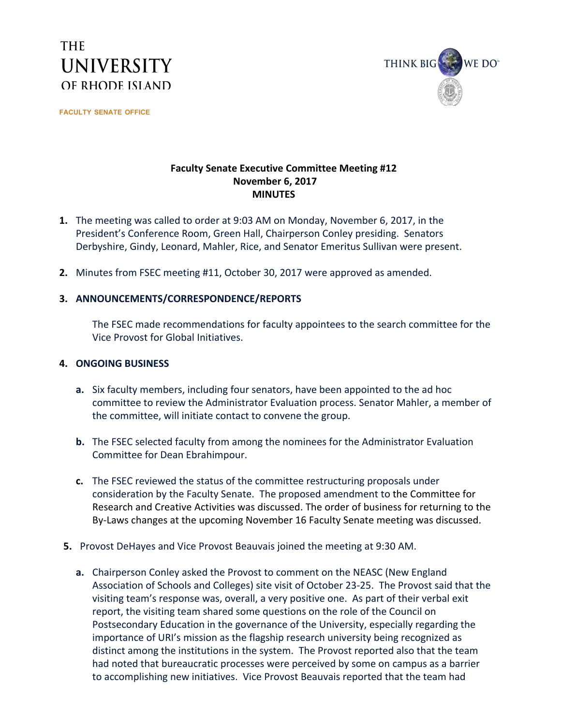# **THE UNIVERSITY** OF RHODE ISLAND

**FACULTY SENATE OFFICE**



### **Faculty Senate Executive Committee Meeting #12 November 6, 2017 MINUTES**

- **1.** The meeting was called to order at 9:03 AM on Monday, November 6, 2017, in the President's Conference Room, Green Hall, Chairperson Conley presiding. Senators Derbyshire, Gindy, Leonard, Mahler, Rice, and Senator Emeritus Sullivan were present.
- **2.** Minutes from FSEC meeting #11, October 30, 2017 were approved as amended.

### **3. ANNOUNCEMENTS/CORRESPONDENCE/REPORTS**

The FSEC made recommendations for faculty appointees to the search committee for the Vice Provost for Global Initiatives.

### **4. ONGOING BUSINESS**

- **a.** Six faculty members, including four senators, have been appointed to the ad hoc committee to review the Administrator Evaluation process. Senator Mahler, a member of the committee, will initiate contact to convene the group.
- **b.** The FSEC selected faculty from among the nominees for the Administrator Evaluation Committee for Dean Ebrahimpour.
- **c.** The FSEC reviewed the status of the committee restructuring proposals under consideration by the Faculty Senate. The proposed amendment to the Committee for Research and Creative Activities was discussed. The order of business for returning to the By-Laws changes at the upcoming November 16 Faculty Senate meeting was discussed.
- **5.** Provost DeHayes and Vice Provost Beauvais joined the meeting at 9:30 AM.
	- **a.** Chairperson Conley asked the Provost to comment on the NEASC (New England Association of Schools and Colleges) site visit of October 23-25. The Provost said that the visiting team's response was, overall, a very positive one. As part of their verbal exit report, the visiting team shared some questions on the role of the Council on Postsecondary Education in the governance of the University, especially regarding the importance of URI's mission as the flagship research university being recognized as distinct among the institutions in the system. The Provost reported also that the team had noted that bureaucratic processes were perceived by some on campus as a barrier to accomplishing new initiatives. Vice Provost Beauvais reported that the team had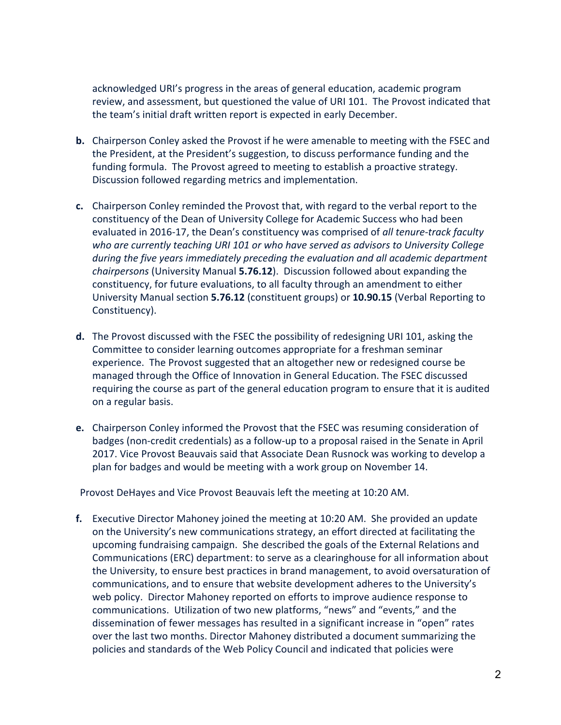acknowledged URI's progress in the areas of general education, academic program review, and assessment, but questioned the value of URI 101. The Provost indicated that the team's initial draft written report is expected in early December.

- **b.** Chairperson Conley asked the Provost if he were amenable to meeting with the FSEC and the President, at the President's suggestion, to discuss performance funding and the funding formula. The Provost agreed to meeting to establish a proactive strategy. Discussion followed regarding metrics and implementation.
- **c.** Chairperson Conley reminded the Provost that, with regard to the verbal report to the constituency of the Dean of University College for Academic Success who had been evaluated in 2016-17, the Dean's constituency was comprised of *all tenure-track faculty who are currently teaching URI 101 or who have served as advisors to University College during the five years immediately preceding the evaluation and all academic department chairpersons* (University Manual **5.76.12**). Discussion followed about expanding the constituency, for future evaluations, to all faculty through an amendment to either University Manual section **5.76.12** (constituent groups) or **10.90.15** (Verbal Reporting to Constituency).
- **d.** The Provost discussed with the FSEC the possibility of redesigning URI 101, asking the Committee to consider learning outcomes appropriate for a freshman seminar experience. The Provost suggested that an altogether new or redesigned course be managed through the Office of Innovation in General Education. The FSEC discussed requiring the course as part of the general education program to ensure that it is audited on a regular basis.
- **e.** Chairperson Conley informed the Provost that the FSEC was resuming consideration of badges (non-credit credentials) as a follow-up to a proposal raised in the Senate in April 2017. Vice Provost Beauvais said that Associate Dean Rusnock was working to develop a plan for badges and would be meeting with a work group on November 14.

Provost DeHayes and Vice Provost Beauvais left the meeting at 10:20 AM.

**f.** Executive Director Mahoney joined the meeting at 10:20 AM. She provided an update on the University's new communications strategy, an effort directed at facilitating the upcoming fundraising campaign. She described the goals of the External Relations and Communications (ERC) department: to serve as a clearinghouse for all information about the University, to ensure best practices in brand management, to avoid oversaturation of communications, and to ensure that website development adheres to the University's web policy. Director Mahoney reported on efforts to improve audience response to communications. Utilization of two new platforms, "news" and "events," and the dissemination of fewer messages has resulted in a significant increase in "open" rates over the last two months. Director Mahoney distributed a document summarizing the policies and standards of the Web Policy Council and indicated that policies were